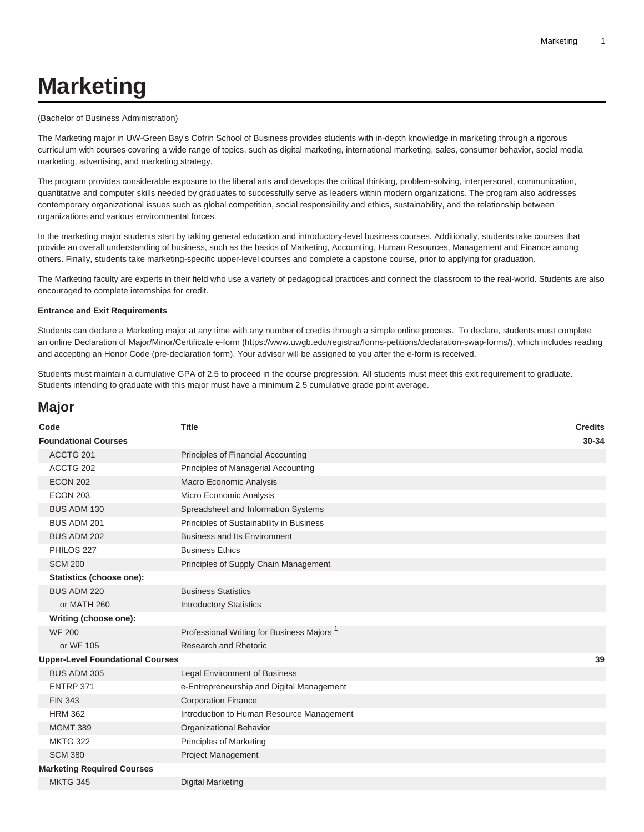# **Marketing**

#### (Bachelor of Business Administration)

The Marketing major in UW-Green Bay's Cofrin School of Business provides students with in-depth knowledge in marketing through a rigorous curriculum with courses covering a wide range of topics, such as digital marketing, international marketing, sales, consumer behavior, social media marketing, advertising, and marketing strategy.

The program provides considerable exposure to the liberal arts and develops the critical thinking, problem-solving, interpersonal, communication, quantitative and computer skills needed by graduates to successfully serve as leaders within modern organizations. The program also addresses contemporary organizational issues such as global competition, social responsibility and ethics, sustainability, and the relationship between organizations and various environmental forces.

In the marketing major students start by taking general education and introductory-level business courses. Additionally, students take courses that provide an overall understanding of business, such as the basics of Marketing, Accounting, Human Resources, Management and Finance among others. Finally, students take marketing-specific upper-level courses and complete a capstone course, prior to applying for graduation.

The Marketing faculty are experts in their field who use a variety of pedagogical practices and connect the classroom to the real-world. Students are also encouraged to complete internships for credit.

#### **Entrance and Exit Requirements**

Students can declare a Marketing major at any time with any number of credits through a simple online process. To declare, students must complete an online [Declaration of Major/Minor/Certificate e-form](https://www.uwgb.edu/registrar/forms-petitions/declaration-swap-forms/) (<https://www.uwgb.edu/registrar/forms-petitions/declaration-swap-forms/>), which includes reading and accepting an Honor Code (pre-declaration form). Your advisor will be assigned to you after the e-form is received.

Students must maintain a cumulative GPA of 2.5 to proceed in the course progression. All students must meet this exit requirement to graduate. Students intending to graduate with this major must have a minimum 2.5 cumulative grade point average.

## **Major**

| Code                                    | <b>Title</b>                                          | <b>Credits</b> |
|-----------------------------------------|-------------------------------------------------------|----------------|
| <b>Foundational Courses</b>             |                                                       | 30-34          |
| ACCTG 201                               | Principles of Financial Accounting                    |                |
| ACCTG 202                               | Principles of Managerial Accounting                   |                |
| <b>ECON 202</b>                         | Macro Economic Analysis                               |                |
| <b>ECON 203</b>                         | Micro Economic Analysis                               |                |
| <b>BUS ADM 130</b>                      | Spreadsheet and Information Systems                   |                |
| BUS ADM 201                             | Principles of Sustainability in Business              |                |
| BUS ADM 202                             | <b>Business and Its Environment</b>                   |                |
| PHILOS 227                              | <b>Business Ethics</b>                                |                |
| <b>SCM 200</b>                          | Principles of Supply Chain Management                 |                |
| Statistics (choose one):                |                                                       |                |
| BUS ADM 220                             | <b>Business Statistics</b>                            |                |
| or MATH 260                             | <b>Introductory Statistics</b>                        |                |
| Writing (choose one):                   |                                                       |                |
| <b>WF 200</b>                           | Professional Writing for Business Majors <sup>1</sup> |                |
| or WF 105                               | Research and Rhetoric                                 |                |
| <b>Upper-Level Foundational Courses</b> |                                                       | 39             |
| BUS ADM 305                             | <b>Legal Environment of Business</b>                  |                |
| ENTRP 371                               | e-Entrepreneurship and Digital Management             |                |
| <b>FIN 343</b>                          | <b>Corporation Finance</b>                            |                |
| <b>HRM 362</b>                          | Introduction to Human Resource Management             |                |
| <b>MGMT 389</b>                         | Organizational Behavior                               |                |
| <b>MKTG 322</b>                         | <b>Principles of Marketing</b>                        |                |
| <b>SCM 380</b>                          | <b>Project Management</b>                             |                |
| <b>Marketing Required Courses</b>       |                                                       |                |
| <b>MKTG 345</b>                         | <b>Digital Marketing</b>                              |                |